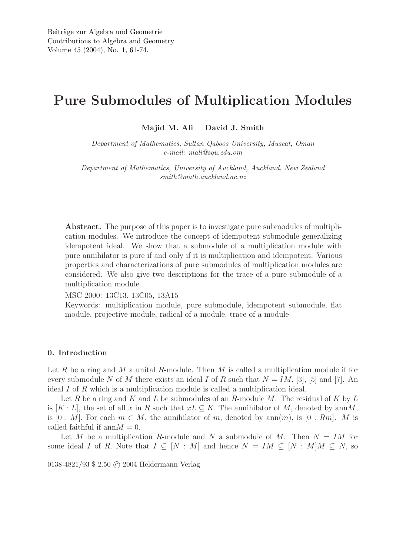# Pure Submodules of Multiplication Modules

Majid M. Ali David J. Smith

*Department of Mathematics, Sultan Qaboos University, Muscat, Oman e-mail: mali@squ.edu.om*

*Department of Mathematics, University of Auckland, Auckland, New Zealand smith@math.auckland.ac.nz*

Abstract. The purpose of this paper is to investigate pure submodules of multiplication modules. We introduce the concept of idempotent submodule generalizing idempotent ideal. We show that a submodule of a multiplication module with pure annihilator is pure if and only if it is multiplication and idempotent. Various properties and characterizations of pure submodules of multiplication modules are considered. We also give two descriptions for the trace of a pure submodule of a multiplication module.

MSC 2000: 13C13, 13C05, 13A15

Keywords: multiplication module, pure submodule, idempotent submodule, flat module, projective module, radical of a module, trace of a module

### 0. Introduction

Let R be a ring and M a unital R-module. Then M is called a multiplication module if for every submodule N of M there exists an ideal I of R such that  $N = IM$ , [3], [5] and [7]. An ideal I of R which is a multiplication module is called a multiplication ideal.

Let R be a ring and K and L be submodules of an R-module M. The residual of K by L is  $[K: L]$ , the set of all x in R such that  $x \in K$ . The annihilator of M, denoted by annM. is  $[0 : M]$ . For each  $m \in M$ , the annihilator of m, denoted by  $ann(m)$ , is  $[0 : Rm]$ . M is called faithful if  $\text{ann}M = 0$ .

Let M be a multiplication R-module and N a submodule of M. Then  $N = IM$  for some ideal I of R. Note that  $I \subseteq [N : M]$  and hence  $N = IM \subseteq [N : M]M \subseteq N$ , so

0138-4821/93 \$ 2.50 C 2004 Heldermann Verlag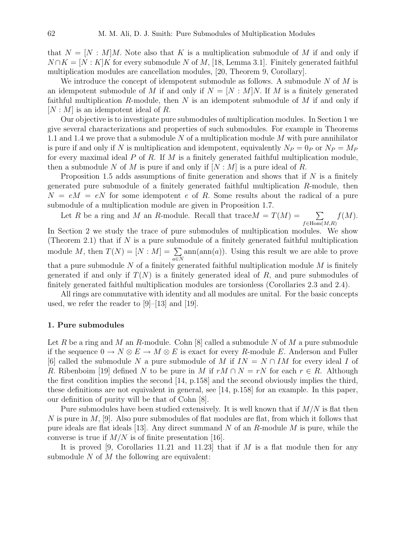that  $N = [N : M]M$ . Note also that K is a multiplication submodule of M if and only if  $N \cap K = [N : K]$  for every submodule N of M, [18, Lemma 3.1]. Finitely generated faithful multiplication modules are cancellation modules, [20, Theorem 9, Corollary].

We introduce the concept of idempotent submodule as follows. A submodule  $N$  of  $M$  is an idempotent submodule of M if and only if  $N = [N : M]N$ . If M is a finitely generated faithful multiplication R-module, then  $N$  is an idempotent submodule of  $M$  if and only if  $[N: M]$  is an idempotent ideal of R.

Our objective is to investigate pure submodules of multiplication modules. In Section 1 we give several characterizations and properties of such submodules. For example in Theorems 1.1 and 1.4 we prove that a submodule  $N$  of a multiplication module  $M$  with pure annihilator is pure if and only if N is multiplication and idempotent, equivalently  $N_P = 0_P$  or  $N_P = M_P$ for every maximal ideal  $P$  of  $R$ . If  $M$  is a finitely generated faithful multiplication module, then a submodule N of M is pure if and only if  $[N : M]$  is a pure ideal of R.

Proposition 1.5 adds assumptions of finite generation and shows that if  $N$  is a finitely generated pure submodule of a finitely generated faithful multiplication R-module, then  $N = eM = eN$  for some idempotent e of R. Some results about the radical of a pure submodule of a multiplication module are given in Proposition 1.7.

Let R be a ring and M an R-module. Recall that trace  $M = T(M) = \sum$  $f \in Hom(M,R)$  $f(M).$ 

In Section 2 we study the trace of pure submodules of multiplication modules. We show (Theorem 2.1) that if  $N$  is a pure submodule of a finitely generated faithful multiplication module M, then  $T(N) = [N : M] = \sum$ a∈N  $ann(ann(a))$ . Using this result we are able to prove that a pure submodule N of a finitely generated faithful multiplication module  $M$  is finitely generated if and only if  $T(N)$  is a finitely generated ideal of R, and pure submodules of finitely generated faithful multiplication modules are torsionless (Corollaries 2.3 and 2.4).

All rings are commutative with identity and all modules are unital. For the basic concepts used, we refer the reader to [9]–[13] and [19].

## 1. Pure submodules

Let R be a ring and M an R-module. Cohn  $[8]$  called a submodule N of M a pure submodule if the sequence  $0 \to N \otimes E \to M \otimes E$  is exact for every R-module E. Anderson and Fuller [6] called the submodule N a pure submodule of M if  $IN = N \cap IM$  for every ideal I of R. Ribenboim [19] defined N to be pure in M if  $rM \cap N = rN$  for each  $r \in R$ . Although the first condition implies the second [14, p.158] and the second obviously implies the third, these definitions are not equivalent in general, see [14, p.158] for an example. In this paper, our definition of purity will be that of Cohn [8].

Pure submodules have been studied extensively. It is well known that if  $M/N$  is flat then N is pure in  $M$ , [9]. Also pure submodules of flat modules are flat, from which it follows that pure ideals are flat ideals [13]. Any direct summand N of an R-module M is pure, while the converse is true if  $M/N$  is of finite presentation [16].

It is proved [9, Corollaries 11.21 and 11.23] that if  $M$  is a flat module then for any submodule  $N$  of  $M$  the following are equivalent: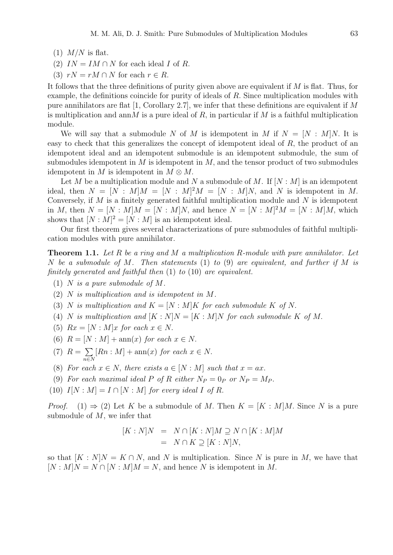- $(1)$  *M/N* is flat.
- (2)  $IN = IM \cap N$  for each ideal I of R.
- (3)  $rN = rM \cap N$  for each  $r \in R$ .

It follows that the three definitions of purity given above are equivalent if  $M$  is flat. Thus, for example, the definitions coincide for purity of ideals of  $R$ . Since multiplication modules with pure annihilators are flat [1, Corollary 2.7], we infer that these definitions are equivalent if M is multiplication and ann M is a pure ideal of R, in particular if M is a faithful multiplication module.

We will say that a submodule N of M is idempotent in M if  $N = [N : M]N$ . It is easy to check that this generalizes the concept of idempotent ideal of  $R$ , the product of an idempotent ideal and an idempotent submodule is an idempotent submodule, the sum of submodules idempotent in  $M$  is idempotent in  $M$ , and the tensor product of two submodules idempotent in M is idempotent in  $M \otimes M$ .

Let M be a multiplication module and N a submodule of M. If  $[N : M]$  is an idempotent ideal, then  $N = [N : M]M = [N : M]^2 M = [N : M]N$ , and N is idempotent in M. Conversely, if  $M$  is a finitely generated faithful multiplication module and  $N$  is idempotent in M, then  $N = [N : M]M = [N : M]N$ , and hence  $N = [N : M]^2M = [N : M]M$ , which shows that  $[N : M]^2 = [N : M]$  is an idempotent ideal.

Our first theorem gives several characterizations of pure submodules of faithful multiplication modules with pure annihilator.

Theorem 1.1. *Let* R *be a ring and* M *a multiplication* R*-module with pure annihilator. Let* N *be a submodule of* M*. Then statements* (1) *to* (9) *are equivalent, and further if* M *is finitely generated and faithful then* (1) *to* (10) *are equivalent.*

- (1) N *is a pure submodule of* M*.*
- (2) N *is multiplication and is idempotent in* M*.*
- (3) N *is multiplication and*  $K = [N : M]K$  *for each submodule* K *of* N.
- (4) N is multiplication and  $[K: N]N = [K: M]N$  for each submodule K of M.
- (5)  $Rx = [N : M]x$  *for each*  $x \in N$ .
- (6)  $R = [N : M] + \text{ann}(x)$  *for each*  $x \in N$ .
- $(7)$   $R = \sum$ n∈N  $[Rn : M] + \text{ann}(x)$  *for each*  $x \in N$ .
- (8) *For each*  $x \in N$ , *there exists*  $a \in [N : M]$  *such that*  $x = ax$ .
- (9) For each maximal ideal P of R either  $N_P = 0_P$  or  $N_P = M_P$ .
- (10)  $I[N : M] = I \cap [N : M]$  *for every ideal I of R*.

*Proof.* (1)  $\Rightarrow$  (2) Let K be a submodule of M. Then  $K = [K : M]M$ . Since N is a pure submodule of M, we infer that

$$
[K:N]N = N \cap [K:N]M \supseteq N \cap [K:M]M
$$
  
=  $N \cap K \supseteq [K:N]N$ ,

so that  $[K : N]N = K \cap N$ , and N is multiplication. Since N is pure in M, we have that  $[N : M]N = N \cap [N : M]M = N$ , and hence N is idempotent in M.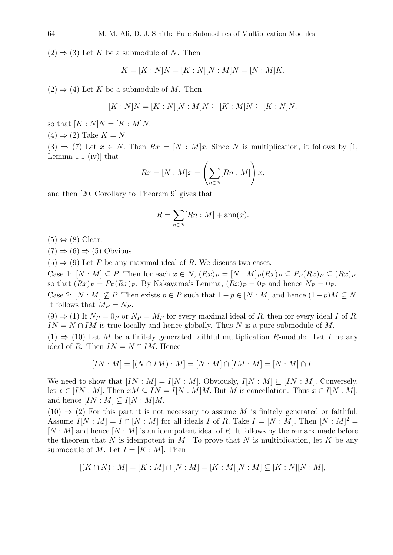$(2) \Rightarrow (3)$  Let K be a submodule of N. Then

$$
K = [K : N]N = [K : N][N : M]N = [N : M]K.
$$

 $(2) \Rightarrow (4)$  Let K be a submodule of M. Then

$$
[K:N]N = [K:N][N:M]N \subseteq [K:M]N \subseteq [K:N]N,
$$

so that  $[K : N]N = [K : M]N$ .  $(4) \Rightarrow (2)$  Take  $K = N$ .  $(3) \Rightarrow (7)$  Let  $x \in N$ . Then  $Rx = [N : M]x$ . Since N is multiplication, it follows by [1, Lemma 1.1 (iv) that

$$
Rx = [N : M]x = \left(\sum_{n \in N} [Rn : M]\right)x,
$$

and then [20, Corollary to Theorem 9] gives that

$$
R = \sum_{n \in N} [Rn : M] + \operatorname{ann}(x).
$$

 $(5) \Leftrightarrow (8)$  Clear.

 $(7) \Rightarrow (6) \Rightarrow (5)$  Obvious.

 $(5) \Rightarrow (9)$  Let P be any maximal ideal of R. We discuss two cases.

Case 1:  $[N : M] \subseteq P$ . Then for each  $x \in N$ ,  $(Rx)P = [N : M]P(Rx)P \subseteq P_P(Rx)P \subseteq (Rx)P$ , so that  $(Rx)_P = P_P(Rx)_P$ . By Nakayama's Lemma,  $(Rx)_P = 0_P$  and hence  $N_P = 0_P$ . Case 2:  $[N : M] \nsubseteq P$ . Then exists  $p \in P$  such that  $1-p \in [N : M]$  and hence  $(1-p)M \subseteq N$ .

It follows that  $M_P = N_P$ .

 $(9) \Rightarrow (1)$  If  $N_P = 0_P$  or  $N_P = M_P$  for every maximal ideal of R, then for every ideal I of R,  $IN = N \cap IM$  is true locally and hence globally. Thus N is a pure submodule of M.  $(1) \Rightarrow (10)$  Let M be a finitely generated faithful multiplication R-module. Let I be any ideal of R. Then  $IN = N \cap IM$ . Hence

$$
[IN: M] = [(N \cap IM): M] = [N:M] \cap [IM:M] = [N:M] \cap I.
$$

We need to show that  $[IN : M] = I[N : M]$ . Obviously,  $I[N : M] \subseteq [IN : M]$ . Conversely, let  $x \in [IN : M]$ . Then  $xM \subseteq IN = I[N : M]M$ . But M is cancellation. Thus  $x \in I[N : M]$ , and hence  $[IN : M] \subset I[N : M]M$ .

 $(10) \Rightarrow (2)$  For this part it is not necessary to assume M is finitely generated or faithful. Assume  $I[N : M] = I \cap [N : M]$  for all ideals I of R. Take  $I = [N : M]$ . Then  $[N : M]^2 =$  $[N : M]$  and hence  $[N : M]$  is an idempotent ideal of R. It follows by the remark made before the theorem that N is idempotent in M. To prove that N is multiplication, let K be any submodule of M. Let  $I = [K : M]$ . Then

$$
[(K \cap N) : M] = [K : M] \cap [N : M] = [K : M][N : M] \subseteq [K : N][N : M],
$$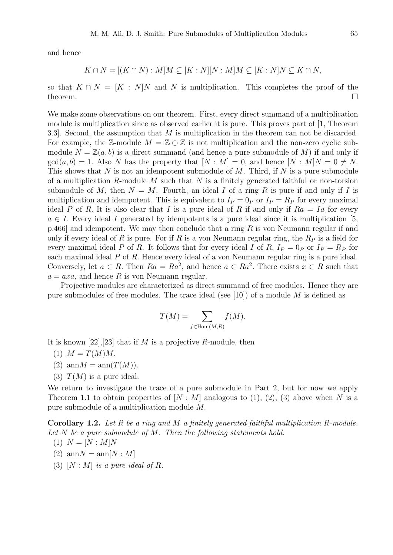and hence

$$
K \cap N = [(K \cap N) : M]M \subseteq [K : N][N : M]M \subseteq [K : N]N \subseteq K \cap N,
$$

so that  $K \cap N = [K : N]N$  and N is multiplication. This completes the proof of the theorem.  $\Box$ 

We make some observations on our theorem. First, every direct summand of a multiplication module is multiplication since as observed earlier it is pure. This proves part of [1, Theorem 3.3]. Second, the assumption that M is multiplication in the theorem can not be discarded. For example, the Z-module  $M = \mathbb{Z} \oplus \mathbb{Z}$  is not multiplication and the non-zero cyclic submodule  $N = \mathbb{Z}(a, b)$  is a direct summand (and hence a pure submodule of M) if and only if  $gcd(a, b) = 1$ . Also N has the property that  $[N : M] = 0$ , and hence  $[N : M]N = 0 \neq N$ . This shows that N is not an idempotent submodule of M. Third, if N is a pure submodule of a multiplication R-module M such that N is a finitely generated faithful or non-torsion submodule of M, then  $N = M$ . Fourth, an ideal I of a ring R is pure if and only if I is multiplication and idempotent. This is equivalent to  $I_P = 0_P$  or  $I_P = R_P$  for every maximal ideal P of R. It is also clear that I is a pure ideal of R if and only if  $Ra = Ia$  for every  $a \in I$ . Every ideal I generated by idempotents is a pure ideal since it is multiplication [5,  $p.466$ ] and idempotent. We may then conclude that a ring R is von Neumann regular if and only if every ideal of R is pure. For if R is a von Neumann regular ring, the  $R_P$  is a field for every maximal ideal P of R. It follows that for every ideal I of R,  $I_P = 0_P$  or  $I_P = R_P$  for each maximal ideal P of R. Hence every ideal of a von Neumann regular ring is a pure ideal. Conversely, let  $a \in R$ . Then  $Ra = Ra^2$ , and hence  $a \in Ra^2$ . There exists  $x \in R$  such that  $a = axa$ , and hence R is von Neumann regular.

Projective modules are characterized as direct summand of free modules. Hence they are pure submodules of free modules. The trace ideal (see [10]) of a module  $M$  is defined as

$$
T(M) = \sum_{f \in \text{Hom}(M,R)} f(M).
$$

It is known [22], [23] that if M is a projective R-module, then

- $(1)$   $M = T(M)M$ .
- (2)  $\text{ann}M = \text{ann}(T(M)).$
- (3)  $T(M)$  is a pure ideal.

We return to investigate the trace of a pure submodule in Part 2, but for now we apply Theorem 1.1 to obtain properties of  $[N : M]$  analogous to (1), (2), (3) above when N is a pure submodule of a multiplication module M.

Corollary 1.2. *Let* R *be a ring and* M *a finitely generated faithful multiplication* R*-module. Let* N *be a pure submodule of* M*. Then the following statements hold.*

 $(1) N = [N : M]N$ 

- $(2)$  ann $N = \text{ann}[N : M]$
- (3)  $[N : M]$  *is a pure ideal of R.*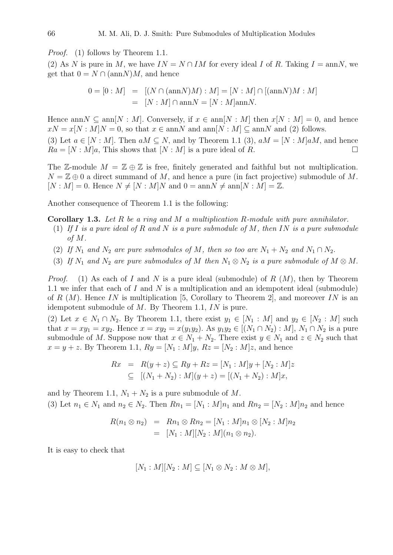*Proof.* (1) follows by Theorem 1.1.

(2) As N is pure in M, we have  $IN = N \cap IM$  for every ideal I of R. Taking  $I = \text{ann}N$ , we get that  $0 = N \cap (\text{ann}N)M$ , and hence

$$
0 = [0 : M] = [(N \cap (\text{ann}N)M) : M] = [N : M] \cap [(\text{ann}N)M : M]
$$
  
= [N : M] \cap \text{ann}N = [N : M] \text{ann}N.

Hence ann  $N \subseteq \text{ann}[N : M]$ . Conversely, if  $x \in \text{ann}[N : M]$  then  $x[N : M] = 0$ , and hence  $xN = x[N : M]N = 0$ , so that  $x \in \text{ann}N$  and  $\text{ann}[N : M] \subseteq \text{ann}N$  and (2) follows.

(3) Let  $a \in [N : M]$ . Then  $aM \subseteq N$ , and by Theorem 1.1 (3),  $aM = [N : M]aM$ , and hence  $Ra = [N : M]a$ , This shows that  $[N : M]$  is a pure ideal of R.

The Z-module  $M = \mathbb{Z} \oplus \mathbb{Z}$  is free, finitely generated and faithful but not multiplication.  $N = \mathbb{Z} \oplus 0$  a direct summand of M, and hence a pure (in fact projective) submodule of M.  $[N : M] = 0$ . Hence  $N \neq [N : M]N$  and  $0 = \text{ann}N \neq \text{ann}[N : M] = \mathbb{Z}$ .

Another consequence of Theorem 1.1 is the following:

Corollary 1.3. *Let* R *be a ring and* M *a multiplication* R*-module with pure annihilator.*

- (1) *If* I *is a pure ideal of* R *and* N *is a pure submodule of* M*, then* IN *is a pure submodule of* M*.*
- (2) *If*  $N_1$  *and*  $N_2$  *are pure submodules of*  $M$ *, then so too are*  $N_1 + N_2$  *and*  $N_1 \cap N_2$ *.*
- (3) *If*  $N_1$  *and*  $N_2$  *are pure submodules of*  $M$  *then*  $N_1 \otimes N_2$  *is a pure submodule of*  $M \otimes M$ .

*Proof.* (1) As each of I and N is a pure ideal (submodule) of  $R(M)$ , then by Theorem 1.1 we infer that each of  $I$  and  $N$  is a multiplication and an idempotent ideal (submodule) of R  $(M)$ . Hence IN is multiplication [5, Corollary to Theorem 2], and moreover IN is an idempotent submodule of  $M$ . By Theorem 1.1,  $IN$  is pure.

(2) Let  $x \in N_1 \cap N_2$ . By Theorem 1.1, there exist  $y_1 \in [N_1 : M]$  and  $y_2 \in [N_2 : M]$  such that  $x = xy_1 = xy_2$ . Hence  $x = xy_2 = x(y_1y_2)$ . As  $y_1y_2 \in [(N_1 \cap N_2) : M], N_1 \cap N_2$  is a pure submodule of M. Suppose now that  $x \in N_1 + N_2$ . There exist  $y \in N_1$  and  $z \in N_2$  such that  $x = y + z$ . By Theorem 1.1,  $Ry = [N_1 : M]y$ ,  $Rz = [N_2 : M]z$ , and hence

$$
Rx = R(y + z) \subseteq Ry + Rz = [N_1 : M]y + [N_2 : M]z
$$
  
\n
$$
\subseteq [(N_1 + N_2) : M](y + z) = [(N_1 + N_2) : M]x,
$$

and by Theorem 1.1,  $N_1 + N_2$  is a pure submodule of M. (3) Let  $n_1 \in N_1$  and  $n_2 \in N_2$ . Then  $Rn_1 = [N_1 : M]n_1$  and  $Rn_2 = [N_2 : M]n_2$  and hence

$$
R(n_1 \otimes n_2) = Rn_1 \otimes Rn_2 = [N_1 : M]n_1 \otimes [N_2 : M]n_2
$$
  
= [N<sub>1</sub> : M][N<sub>2</sub> : M](n<sub>1</sub> \otimes n<sub>2</sub>).

It is easy to check that

$$
[N_1 : M][N_2 : M] \subseteq [N_1 \otimes N_2 : M \otimes M],
$$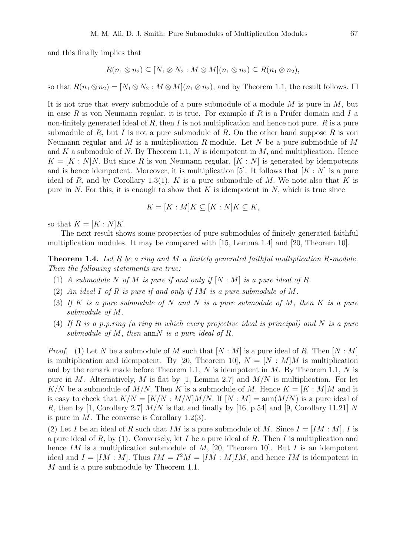and this finally implies that

$$
R(n_1 \otimes n_2) \subseteq [N_1 \otimes N_2 : M \otimes M](n_1 \otimes n_2) \subseteq R(n_1 \otimes n_2),
$$

so that  $R(n_1 \otimes n_2) = [N_1 \otimes N_2 : M \otimes M](n_1 \otimes n_2)$ , and by Theorem 1.1, the result follows.  $\square$ 

It is not true that every submodule of a pure submodule of a module  $M$  is pure in  $M$ , but in case R is von Neumann regular, it is true. For example if R is a Prüfer domain and I a non-finitely generated ideal of R, then I is not multiplication and hence not pure.  $R$  is a pure submodule of R, but I is not a pure submodule of R. On the other hand suppose R is von Neumann regular and  $M$  is a multiplication  $R$ -module. Let  $N$  be a pure submodule of  $M$ and K a submodule of N. By Theorem 1.1, N is idempotent in  $M$ , and multiplication. Hence  $K = [K : N]N$ . But since R is von Neumann regular,  $[K : N]$  is generated by idempotents and is hence idempotent. Moreover, it is multiplication [5]. It follows that  $[K: N]$  is a pure ideal of R, and by Corollary 1.3(1), K is a pure submodule of M. We note also that K is pure in N. For this, it is enough to show that K is idempotent in  $N$ , which is true since

$$
K = [K : M]K \subseteq [K : N]K \subseteq K,
$$

so that  $K = [K : N]K$ .

The next result shows some properties of pure submodules of finitely generated faithful multiplication modules. It may be compared with [15, Lemma 1.4] and [20, Theorem 10].

Theorem 1.4. *Let* R *be a ring and* M *a finitely generated faithful multiplication* R*-module. Then the following statements are true:*

- (1) *A submodule* N of M *is pure if and only if*  $[N : M]$  *is a pure ideal of* R.
- (2) *An ideal* I *of* R *is pure if and only if* IM *is a pure submodule of* M*.*
- (3) *If* K *is a pure submodule of* N *and* N *is a pure submodule of* M*, then* K *is a pure submodule of* M*.*
- (4) *If* R *is a p.p.ring (a ring in which every projective ideal is principal) and* N *is a pure submodule of* M*, then* annN *is a pure ideal of* R.

*Proof.* (1) Let N be a submodule of M such that  $[N : M]$  is a pure ideal of R. Then  $[N : M]$ is multiplication and idempotent. By [20, Theorem 10],  $N = [N : M]M$  is multiplication and by the remark made before Theorem 1.1,  $N$  is idempotent in  $M$ . By Theorem 1.1,  $N$  is pure in M. Alternatively, M is flat by [1, Lemma 2.7] and  $M/N$  is multiplication. For let K/N be a submodule of M/N. Then K is a submodule of M. Hence  $K = [K : M]M$  and it is easy to check that  $K/N = [K/N : M/N]M/N$ . If  $[N : M] = \text{ann}(M/N)$  is a pure ideal of R, then by [1, Corollary 2.7]  $M/N$  is flat and finally by [16, p.54] and [9, Corollary 11.21] N is pure in  $M$ . The converse is Corollary 1.2(3).

(2) Let I be an ideal of R such that IM is a pure submodule of M. Since  $I = [IM : M]$ , I is a pure ideal of R, by  $(1)$ . Conversely, let I be a pure ideal of R. Then I is multiplication and hence IM is a multiplication submodule of  $M$ , [20, Theorem 10]. But I is an idempotent ideal and  $I = [IM : M]$ . Thus  $IM = I^2M = [IM : M]IM$ , and hence IM is idempotent in M and is a pure submodule by Theorem 1.1.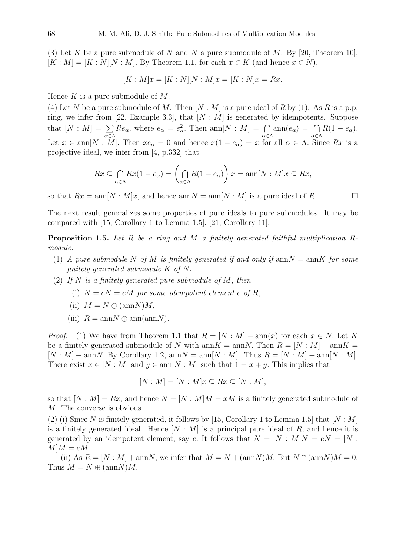(3) Let K be a pure submodule of N and N a pure submodule of M. By [20, Theorem 10],  $[K : M] = [K : N][N : M]$ . By Theorem 1.1, for each  $x \in K$  (and hence  $x \in N$ ),

$$
[K : M]x = [K : N][N : M]x = [K : N]x = Rx.
$$

Hence  $K$  is a pure submodule of  $M$ .

(4) Let N be a pure submodule of M. Then  $[N : M]$  is a pure ideal of R by (1). As R is a p.p. ring, we infer from [22, Example 3.3], that  $[N : M]$  is generated by idempotents. Suppose that  $[N: M] = \sum$ α∈Λ  $Re_{\alpha}$ , where  $e_{\alpha} = e_{\alpha}^2$ . Then ann $[N : M] = \bigcap$ α∈Λ  $\text{ann}(e_{\alpha}) = \bigcap$ α∈Λ  $R(1-e_{\alpha}).$ Let  $x \in \text{ann}[N : M]$ . Then  $xe_\alpha = 0$  and hence  $x(1 - e_\alpha) = x$  for all  $\alpha \in \Lambda$ . Since  $Rx$  is a projective ideal, we infer from [4, p.332] that

$$
Rx \subseteq \bigcap_{\alpha \in \Lambda} Rx(1 - e_{\alpha}) = \left(\bigcap_{\alpha \in \Lambda} R(1 - e_{\alpha})\right)x = \operatorname{ann}[N : M]x \subseteq Rx,
$$

so that  $Rx = \text{ann}[N : M]x$ , and hence  $\text{ann}[N : M]$  is a pure ideal of R.

The next result generalizes some properties of pure ideals to pure submodules. It may be compared with [15, Corollary 1 to Lemma 1.5], [21, Corollary 11].

Proposition 1.5. *Let* R *be a ring and* M *a finitely generated faithful multiplication* R*module.*

- (1) *A* pure submodule N of M is finitely generated if and only if  $\text{ann } N = \text{ann } K$  for some *finitely generated submodule* K *of* N.
- (2) *If* N *is a finitely generated pure submodule of* M*, then*
	- (i)  $N = eN = eM$  *for some idempotent element e of* R,
	- (ii)  $M = N \oplus \text{(ann } N)M$ ,
	- (iii)  $R = \text{ann}N \oplus \text{ann}(\text{ann}N)$ .

*Proof.* (1) We have from Theorem 1.1 that  $R = [N : M] + \text{ann}(x)$  for each  $x \in N$ . Let K be a finitely generated submodule of N with ann  $K = \text{ann}N$ . Then  $R = [N : M] + \text{ann}K =$  $[N : M] + \text{ann}N$ . By Corollary 1.2,  $\text{ann}N = \text{ann}[N : M]$ . Thus  $R = [N : M] + \text{ann}[N : M]$ . There exist  $x \in [N : M]$  and  $y \in \text{ann}[N : M]$  such that  $1 = x + y$ . This implies that

$$
[N:M] = [N:M]x \subseteq Rx \subseteq [N:M],
$$

so that  $[N : M] = Rx$ , and hence  $N = [N : M]M = xM$  is a finitely generated submodule of M. The converse is obvious.

(2) (i) Since N is finitely generated, it follows by [15, Corollary 1 to Lemma 1.5] that  $[N : M]$ is a finitely generated ideal. Hence  $[N : M]$  is a principal pure ideal of R, and hence it is generated by an idempotent element, say e. It follows that  $N = [N : M]N = eN = [N : N]$  $M|M = eM$ .

(ii) As  $R = [N : M] + \text{ann } N$ , we infer that  $M = N + (\text{ann } N)M$ . But  $N \cap (\text{ann } N)M = 0$ . Thus  $M = N \oplus \frac{\text{(ann } N)}{M}$ .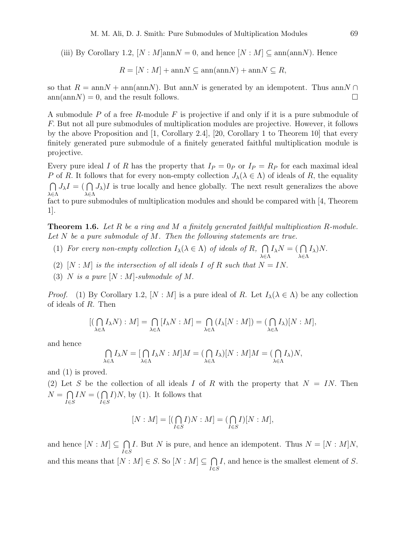(iii) By Corollary 1.2,  $[N : M]$ ann $N = 0$ , and hence  $[N : M] \subseteq \text{ann}(\text{ann}N)$ . Hence

$$
R = [N : M] + \text{ann}N \subseteq \text{ann}(\text{ann}N) + \text{ann}N \subseteq R,
$$

so that  $R = \text{ann}N + \text{ann}(\text{ann}N)$ . But annN is generated by an idempotent. Thus annN ∩  $ann(annN) = 0$ , and the result follows.

A submodule  $P$  of a free  $R$ -module  $F$  is projective if and only if it is a pure submodule of F. But not all pure submodules of multiplication modules are projective. However, it follows by the above Proposition and [1, Corollary 2.4], [20, Corollary 1 to Theorem 10] that every finitely generated pure submodule of a finitely generated faithful multiplication module is projective.

Every pure ideal I of R has the property that  $I_P = 0_P$  or  $I_P = R_P$  for each maximal ideal P of R. It follows that for every non-empty collection  $J_\lambda(\lambda \in \Lambda)$  of ideals of R, the equality  $\cap$ λ∈Λ  $J_{\lambda}I = ( \bigcap$ λ∈Λ  $J_{\lambda}$ )I is true locally and hence globally. The next result generalizes the above fact to pure submodules of multiplication modules and should be compared with [4, Theorem 1].

Theorem 1.6. *Let* R *be a ring and* M *a finitely generated faithful multiplication* R*-module. Let* N *be a pure submodule of* M*. Then the following statements are true.*

λ∈Λ

λ∈Λ

- (1) *For every non-empty collection*  $I_{\lambda}(\lambda \in \Lambda)$  *of ideals of*  $R$ ,  $\bigcap$  $I_{\lambda}N = ( \bigcap$  $I_{\lambda}$ )N.
- (2)  $[N : M]$  *is the intersection of all ideals* I *of* R *such that*  $N = IN$ .
- (3) N *is a pure* [N : M]*-submodule of* M.

*Proof.* (1) By Corollary 1.2,  $[N : M]$  is a pure ideal of R. Let  $I_\lambda(\lambda \in \Lambda)$  be any collection of ideals of R. Then

$$
[(\bigcap_{\lambda \in \Lambda} I_{\lambda} N) : M] = \bigcap_{\lambda \in \Lambda} [I_{\lambda} N : M] = \bigcap_{\lambda \in \Lambda} (I_{\lambda} [N : M]) = (\bigcap_{\lambda \in \Lambda} I_{\lambda}) [N : M],
$$

and hence

$$
\bigcap_{\lambda \in \Lambda} I_{\lambda} N = [\bigcap_{\lambda \in \Lambda} I_{\lambda} N : M] M = (\bigcap_{\lambda \in \Lambda} I_{\lambda}) [N : M] M = (\bigcap_{\lambda \in \Lambda} I_{\lambda}) N,
$$

and (1) is proved.

(2) Let S be the collection of all ideals I of R with the property that  $N = IN$ . Then  $N = \bigcap$ I∈S  $IN = (\bigcap$ I∈S  $I$ )N, by (1). It follows that

$$
[N:M] = [(\bigcap_{I \in S} I)N : M] = (\bigcap_{I \in S} I)[N : M],
$$

and hence  $[N : M] \subseteq \bigcap$ I∈S I. But N is pure, and hence an idempotent. Thus  $N = [N : M]N$ , and this means that  $[N : M] \in S$ . So  $[N : M] \subseteq \bigcap$ I∈S I, and hence is the smallest element of S.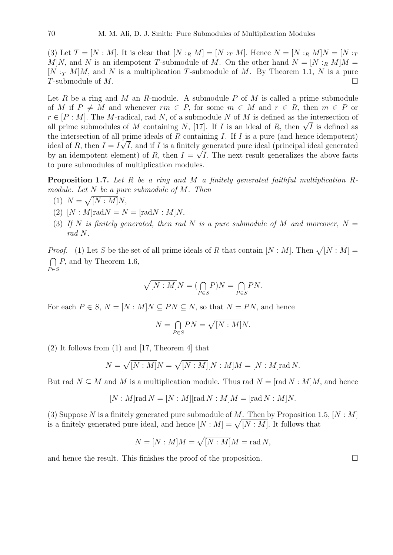(3) Let  $T = [N : M]$ . It is clear that  $[N :_R M] = [N :_T M]$ . Hence  $N = [N :_R M]N = [N :_T$ M|N, and N is an idempotent T-submodule of M. On the other hand  $N = [N :_{R} M|M =$  $[N : T M M]$ , and N is a multiplication T-submodule of M. By Theorem 1.1, N is a pure T-submodule of  $M$ .

Let R be a ring and M an R-module. A submodule P of M is called a prime submodule of M if  $P \neq M$  and whenever  $rm \in P$ , for some  $m \in M$  and  $r \in R$ , then  $m \in P$  or  $r \in [P : M]$ . The M-radical, rad N, of a submodule N of M is defined as the intersection of  $r \in [P : M]$ . The M-radical, rad N, or a submodule N or M is defined as the intersection of all prime submodules of M containing N, [17]. If I is an ideal of R, then  $\sqrt{I}$  is defined as the intersection of all prime ideals of R containing I. If I is a pure (and hence idempotent) ideal of R, then  $I = I \sqrt{I}$ , and if I is a finitely generated pure ideal (principal ideal generated by an idempotent element) of R, then  $I = \sqrt{I}$ . The next result generalizes the above facts to pure submodules of multiplication modules.

Proposition 1.7. *Let* R *be a ring and* M *a finitely generated faithful multiplication* R*module. Let* N *be a pure submodule of* M*. Then*

- (1)  $N = \sqrt{[N:M]}N,$
- (2)  $[N : M] \text{rad} N = N = [\text{rad} N : M] N$ ,
- (3) If N is finitely generated, then rad N is a pure submodule of M and moreover,  $N =$ *rad* N*.*

*Proof.* (1) Let S be the set of all prime ideals of R that contain  $[N : M]$ . Then  $\sqrt{[N : M]}$  $\bigcap P$ , and by Theorem 1.6,  $P \in S$ 

$$
\sqrt{[N:M]}N=(\bigcap_{P\in S}P)N=\bigcap_{P\in S}PN.
$$

For each  $P \in S$ ,  $N = [N : M]N \subseteq PN \subseteq N$ , so that  $N = PN$ , and hence

$$
N = \bigcap_{P \in S} PN = \sqrt{[N:M]}N.
$$

(2) It follows from (1) and [17, Theorem 4] that

$$
N = \sqrt{[N:M]}N = \sqrt{[N:M]}[N:M]M = [N:M]\text{rad }N.
$$

But rad  $N \subseteq M$  and M is a multiplication module. Thus rad  $N = [rad N : M]M$ , and hence

$$
[N:M]\text{rad}\,N=[N:M][\text{rad}\,N:M]M=[\text{rad}\,N:M]N.
$$

(3) Suppose N is a finitely generated pure submodule of M. Then by Proposition 1.5,  $[N: M]$ is a finitely generated pure ideal, and hence  $[N : M] = \sqrt{[N : M]}$ . It follows that

$$
N = [N : M]M = \sqrt{[N : M]}M = \text{rad } N,
$$

and hence the result. This finishes the proof of the proposition.  $\Box$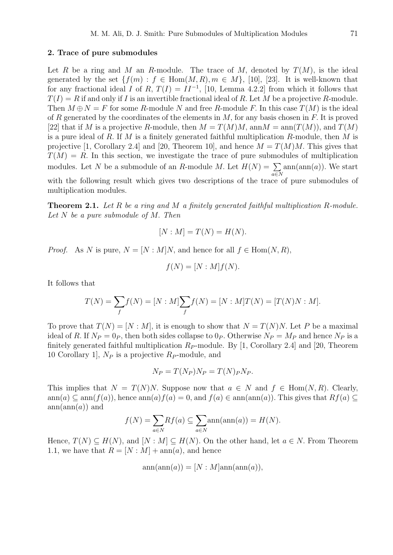### 2. Trace of pure submodules

Let R be a ring and M an R-module. The trace of M, denoted by  $T(M)$ , is the ideal generated by the set  $\{f(m): f \in \text{Hom}(M, R), m \in M\}$ , [10], [23]. It is well-known that for any fractional ideal I of R,  $T(I) = II^{-1}$ , [10, Lemma 4.2.2] from which it follows that  $T(I) = R$  if and only if I is an invertible fractional ideal of R. Let M be a projective R-module. Then  $M \oplus N = F$  for some R-module N and free R-module F. In this case  $T(M)$  is the ideal of R generated by the coordinates of the elements in  $M$ , for any basis chosen in F. It is proved [22] that if M is a projective R-module, then  $M = T(M)M$ , ann  $M = \text{ann}(T(M))$ , and  $T(M)$ is a pure ideal of R. If M is a finitely generated faithful multiplication R-module, then M is projective [1, Corollary 2.4] and [20, Theorem 10], and hence  $M = T(M)M$ . This gives that  $T(M) = R$ . In this section, we investigate the trace of pure submodules of multiplication modules. Let N be a submodule of an R-module M. Let  $H(N) = \sum \text{ann}(\text{ann}(a))$ . We start with the following result which gives two descriptions of the trace of pure submodules of

multiplication modules. Theorem 2.1. *Let* R *be a ring and* M *a finitely generated faithful multiplication* R*-module.*

*Let* N *be a pure submodule of* M. *Then*

$$
[N : M] = T(N) = H(N).
$$

*Proof.* As N is pure,  $N = [N : M]N$ , and hence for all  $f \in Hom(N, R)$ ,

$$
f(N) = [N : M]f(N).
$$

It follows that

$$
T(N) = \sum_{f} f(N) = [N : M] \sum_{f} f(N) = [N : M] T(N) = [T(N)N : M].
$$

To prove that  $T(N) = [N : M]$ , it is enough to show that  $N = T(N)N$ . Let P be a maximal ideal of R. If  $N_P = 0_P$ , then both sides collapse to  $0_P$ . Otherwise  $N_P = M_P$  and hence  $N_P$  is a finitely generated faithful multiplication  $R_P$ -module. By [1, Corollary 2.4] and [20, Theorem 10 Corollary 1,  $N_P$  is a projective  $R_P$ -module, and

$$
N_P = T(N_P)N_P = T(N)_P N_P.
$$

This implies that  $N = T(N)N$ . Suppose now that  $a \in N$  and  $f \in Hom(N, R)$ . Clearly, ann(a) ⊆ ann(f(a)), hence ann(a)  $f(a) = 0$ , and  $f(a) \in \text{ann}(\text{ann}(a))$ . This gives that  $Rf(a) \subseteq$  $ann(ann(a))$  and

$$
f(N) = \sum_{a \in N} Rf(a) \subseteq \sum_{a \in N} \operatorname{ann}(\operatorname{ann}(a)) = H(N).
$$

Hence,  $T(N) \subseteq H(N)$ , and  $[N : M] \subseteq H(N)$ . On the other hand, let  $a \in N$ . From Theorem 1.1, we have that  $R = [N : M] + \text{ann}(a)$ , and hence

$$
\operatorname{ann}(\operatorname{ann}(a)) = [N : M] \operatorname{ann}(\operatorname{ann}(a)),
$$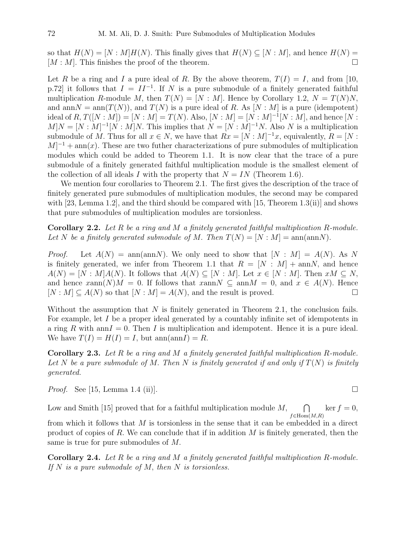so that  $H(N) = [N : M]H(N)$ . This finally gives that  $H(N) \subseteq [N : M]$ , and hence  $H(N) =$  $[M : M]$ . This finishes the proof of the theorem.

Let R be a ring and I a pure ideal of R. By the above theorem,  $T(I) = I$ , and from [10, p.72] it follows that  $I = II^{-1}$ . If N is a pure submodule of a finitely generated faithful multiplication R-module M, then  $T(N) = [N : M]$ . Hence by Corollary 1.2,  $N = T(N)N$ , and ann  $N = \text{ann}(T(N))$ , and  $T(N)$  is a pure ideal of R. As  $[N : M]$  is a pure (idempotent) ideal of  $R, T([N : M]) = [N : M] = T(N)$ . Also,  $[N : M] = [N : M]^{-1}[N : M]$ , and hence  $[N : M]$  $M|N = [N : M]^{-1}[N : M]N$ . This implies that  $N = [N : M]^{-1}N$ . Also N is a multiplication submodule of M. Thus for all  $x \in N$ , we have that  $Rx = [N : M]^{-1}x$ , equivalently,  $R = [N : M]$  $M$ <sup>-1</sup> + ann(x). These are two futher characterizations of pure submodules of multiplication modules which could be added to Theorem 1.1. It is now clear that the trace of a pure submodule of a finitely generated faithful multiplication module is the smallest element of the collection of all ideals I with the property that  $N = IN$  (Theorem 1.6).

We mention four corollaries to Theorem 2.1. The first gives the description of the trace of finitely generated pure submodules of multiplication modules, the second may be compared with [23, Lemma 1.2], and the third should be compared with  $[15,$  Theorem 1.3(ii)] and shows that pure submodules of multiplication modules are torsionless.

Corollary 2.2. *Let* R *be a ring and* M *a finitely generated faithful multiplication* R*-module.* Let N be a finitely generated submodule of M. Then  $T(N) = [N : M] = \text{ann}(\text{ann}N)$ .

*Proof.* Let  $A(N) = \text{ann}(\text{ann}N)$ . We only need to show that  $[N : M] = A(N)$ . As N is finitely generated, we infer from Theorem 1.1 that  $R = [N : M] + \text{ann}N$ , and hence  $A(N) = [N : M]A(N)$ . It follows that  $A(N) \subseteq [N : M]$ . Let  $x \in [N : M]$ . Then  $xM \subseteq N$ , and hence  $xann(N)M = 0$ . If follows that  $xannN \subseteq annM = 0$ , and  $x \in A(N)$ . Hence  $[N : M] \subseteq A(N)$  so that  $[N : M] = A(N)$ , and the result is proved.

Without the assumption that  $N$  is finitely generated in Theorem 2.1, the conclusion fails. For example, let I be a proper ideal generated by a countably infinite set of idempotents in a ring R with ann $I = 0$ . Then I is multiplication and idempotent. Hence it is a pure ideal. We have  $T(I) = H(I) = I$ , but  $ann(annI) = R$ .

Corollary 2.3. *Let* R *be a ring and* M *a finitely generated faithful multiplication* R*-module.* Let N be a pure submodule of M. Then N is finitely generated if and only if  $T(N)$  is finitely *generated.*

*Proof.* See [15, Lemma 1.4 (ii)].

Low and Smith [15] proved that for a faithful multiplication module  $M$ ,  $\bigcap$  $f \in Hom(M,R)$  $\ker f = 0$ ,

from which it follows that M is torsionless in the sense that it can be embedded in a direct product of copies of R. We can conclude that if in addition  $M$  is finitely generated, then the same is true for pure submodules of M.

Corollary 2.4. *Let* R *be a ring and* M *a finitely generated faithful multiplication* R*-module. If* N *is a pure submodule of* M, *then* N *is torsionless.*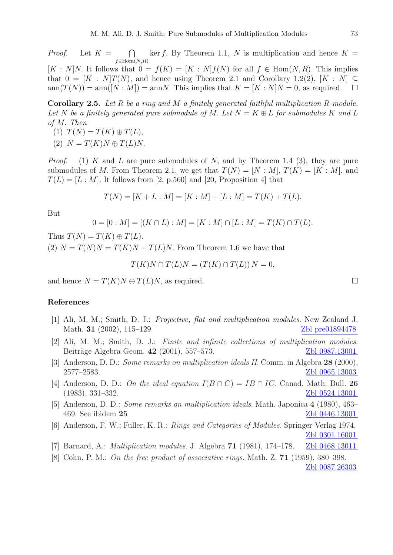*Proof.* Let  $K =$  $\cap$  $f \in \text{Hom}(N,R)$ ker f. By Theorem 1.1, N is multiplication and hence  $K =$  $[K: N]N$ . It follows that  $0 = f(K) = [K: N]f(N)$  for all  $f \in Hom(N, R)$ . This implies that  $0 = [K : N]T(N)$ , and hence using Theorem 2.1 and Corollary 1.2(2),  $[K : N] \subseteq$  $ann(T(N)) = ann([N : M]) = annN$ . This implies that  $K = [K : N]N = 0$ , as required.  $\square$ 

Corollary 2.5. *Let* R *be a ring and* M *a finitely generated faithful multiplication* R*-module.* Let N be a finitely generated pure submodule of M. Let  $N = K \oplus L$  for submodules K and L *of* M. *Then*

(1)  $T(N) = T(K) \oplus T(L)$ , (2)  $N = T(K)N \oplus T(L)N$ .

*Proof.* (1) K and L are pure submodules of N, and by Theorem 1.4 (3), they are pure submodules of M. From Theorem 2.1, we get that  $T(N) = [N : M], T(K) = [K : M]$ , and  $T(L) = [L : M]$ . It follows from [2, p.560] and [20, Proposition 4] that

$$
T(N) = [K + L : M] = [K : M] + [L : M] = T(K) + T(L).
$$

But

$$
0 = [0 : M] = [(K \cap L) : M] = [K : M] \cap [L : M] = T(K) \cap T(L).
$$

Thus  $T(N) = T(K) \oplus T(L)$ .

(2)  $N = T(N)N = T(K)N + T(L)N$ . From Theorem 1.6 we have that

 $T(K)N \cap T(L)N = (T(K) \cap T(L))N = 0,$ 

and hence  $N = T(K)N \oplus T(L)N$ , as required.

## References

- [1] Ali, M. M.; Smith, D. J.: *Projective, flat and multiplication modules*. New Zealand J. Math. 31  $(2002)$ , 115–129. Zbl pre01894478
- [2] Ali, M. M.; Smith, D. J.: *Finite and infinite collections of multiplication modules*. Beiträge Algebra Geom. 42 (2001), 557–573. [Zbl 0987.13001](http://www.emis.de/MATH-item?0987.13001)
- [3] Anderson, D. D.: *Some remarks on multiplication ideals II*. Comm. in Algebra 28 (2000), 2577–2583. [Zbl 0965.13003](http://www.emis.de/MATH-item?0965.13003)
- [4] Anderson, D. D.: *On the ideal equation*  $I(B \cap C) = IB \cap IC$ . Canad. Math. Bull. 26 (1983), 331–332. [Zbl 0524.13001](http://www.emis.de/MATH-item?0524.13001) −−−−−−−−−−−−
- [5] Anderson, D. D.: *Some remarks on multiplication ideals*. Math. Japonica 4 (1980), 463– 469. See ibidem 25 [Zbl 0446.13001](http://www.emis.de/MATH-item?0446.13001)
- [6] Anderson, F. W.; Fuller, K. R.: *Rings and Categories of Modules.* Springer-Verlag 1974. [Zbl 0301.16001](http://www.emis.de/MATH-item?0301.16001)
- [7] Barnard, A.: *Multiplication modules*. J. Algebra **71** (1981), 174–178. [Zbl 0468.13011](http://www.emis.de/MATH-item?0468.13011)
- [8] Cohn, P. M.: *On the free product of associative rings.* Math. Z. 71 (1959), 380–398.

[Zbl 0087.26303](http://www.emis.de/MATH-item?0087.26303)